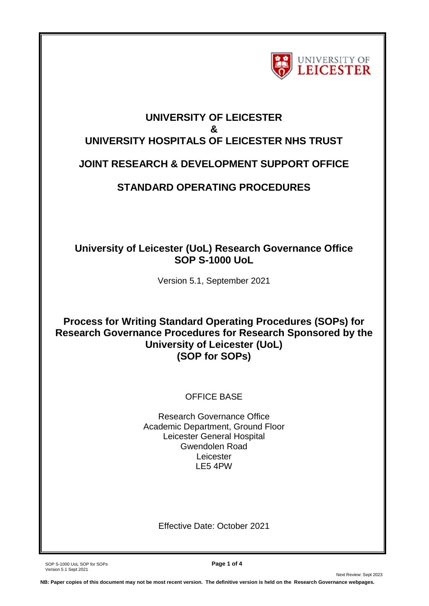

# **UNIVERSITY OF LEICESTER & UNIVERSITY HOSPITALS OF LEICESTER NHS TRUST JOINT RESEARCH & DEVELOPMENT SUPPORT OFFICE**

# **STANDARD OPERATING PROCEDURES**

## **University of Leicester (UoL) Research Governance Office SOP S-1000 UoL**

Version 5.1, September 2021

**Process for Writing Standard Operating Procedures (SOPs) for Research Governance Procedures for Research Sponsored by the University of Leicester (UoL) (SOP for SOPs)**

### OFFICE BASE

Research Governance Office Academic Department, Ground Floor Leicester General Hospital Gwendolen Road Leicester LE5 4PW

Effective Date: October 2021

SOP S-1000 UoL SOP for SOPs **Page 1 of 4** Version 5.1 Sept 2021

Next Review: Sept 2023

**NB: Paper copies of this document may not be most recent version. The definitive version is held on the Research Governance webpages.**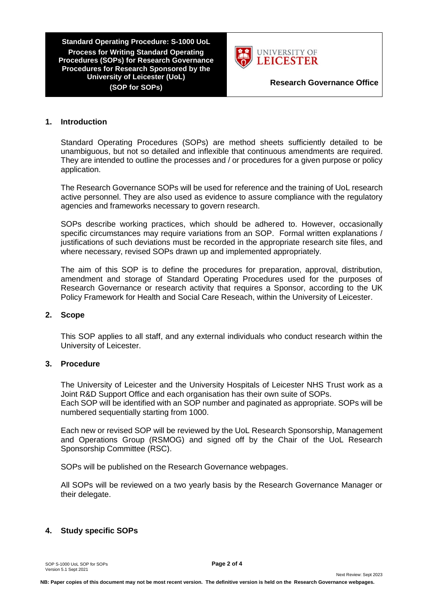**Standard Operating Procedure: S-1000 UoL Process for Writing Standard Operating Procedures (SOPs) for Research Governance Procedures for Research Sponsored by the University of Leicester (UoL) (SOP for SOPs) Research Governance Office**



#### **1. Introduction**

Standard Operating Procedures (SOPs) are method sheets sufficiently detailed to be unambiguous, but not so detailed and inflexible that continuous amendments are required. They are intended to outline the processes and / or procedures for a given purpose or policy application.

The Research Governance SOPs will be used for reference and the training of UoL research active personnel. They are also used as evidence to assure compliance with the regulatory agencies and frameworks necessary to govern research.

SOPs describe working practices, which should be adhered to. However, occasionally specific circumstances may require variations from an SOP. Formal written explanations / justifications of such deviations must be recorded in the appropriate research site files, and where necessary, revised SOPs drawn up and implemented appropriately.

The aim of this SOP is to define the procedures for preparation, approval, distribution, amendment and storage of Standard Operating Procedures used for the purposes of Research Governance or research activity that requires a Sponsor, according to the UK Policy Framework for Health and Social Care Reseach, within the University of Leicester.

#### **2. Scope**

This SOP applies to all staff, and any external individuals who conduct research within the University of Leicester.

#### **3. Procedure**

The University of Leicester and the University Hospitals of Leicester NHS Trust work as a Joint R&D Support Office and each organisation has their own suite of SOPs. Each SOP will be identified with an SOP number and paginated as appropriate. SOPs will be numbered sequentially starting from 1000.

Each new or revised SOP will be reviewed by the UoL Research Sponsorship, Management and Operations Group (RSMOG) and signed off by the Chair of the UoL Research Sponsorship Committee (RSC).

SOPs will be published on the Research Governance webpages.

All SOPs will be reviewed on a two yearly basis by the Research Governance Manager or their delegate.

#### **4. Study specific SOPs**

SOP S-1000 UoL SOP for SOPs **Page 2 of 4** Version 5.1 Sept 2021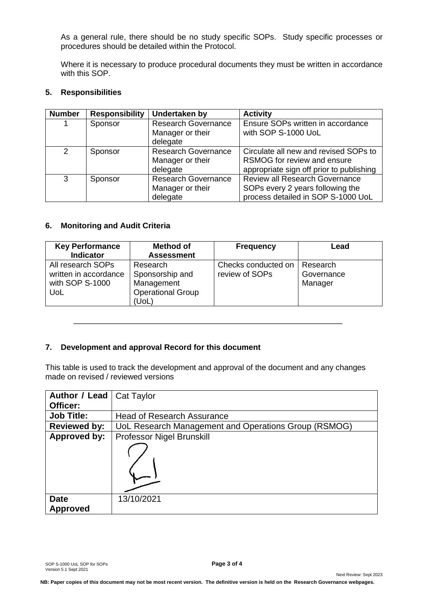As a general rule, there should be no study specific SOPs. Study specific processes or procedures should be detailed within the Protocol.

Where it is necessary to produce procedural documents they must be written in accordance with this SOP.

#### **5. Responsibilities**

| <b>Number</b>  | <b>Responsibility</b> | Undertaken by              | <b>Activity</b>                          |
|----------------|-----------------------|----------------------------|------------------------------------------|
| 1              | Sponsor               | <b>Research Governance</b> | Ensure SOPs written in accordance        |
|                |                       | Manager or their           | with SOP S-1000 UoL                      |
|                |                       | delegate                   |                                          |
| $\overline{2}$ | Sponsor               | <b>Research Governance</b> | Circulate all new and revised SOPs to    |
|                |                       | Manager or their           | RSMOG for review and ensure              |
|                |                       | delegate                   | appropriate sign off prior to publishing |
| 3              | Sponsor               | <b>Research Governance</b> | <b>Review all Research Governance</b>    |
|                |                       | Manager or their           | SOPs every 2 years following the         |
|                |                       | delegate                   | process detailed in SOP S-1000 UoL       |

#### **6. Monitoring and Audit Criteria**

| <b>Key Performance</b> | <b>Method of</b>         | <b>Frequency</b>    | Lead       |  |
|------------------------|--------------------------|---------------------|------------|--|
| <b>Indicator</b>       | <b>Assessment</b>        |                     |            |  |
| All research SOPs      | Research                 | Checks conducted on | Research   |  |
| written in accordance  | Sponsorship and          | review of SOPs      | Governance |  |
| with SOP S-1000        | Management               |                     | Manager    |  |
| UoL                    | <b>Operational Group</b> |                     |            |  |
|                        | (UoL)                    |                     |            |  |

#### **7. Development and approval Record for this document**

This table is used to track the development and approval of the document and any changes made on revised / reviewed versions

\_\_\_\_\_\_\_\_\_\_\_\_\_\_\_\_\_\_\_\_\_\_\_\_\_\_\_\_\_\_\_\_\_\_\_\_\_\_\_\_\_\_\_\_\_\_\_\_\_\_\_\_\_\_\_\_\_\_\_\_\_

| <b>Author / Lead   Cat Taylor</b> |                                                      |  |  |
|-----------------------------------|------------------------------------------------------|--|--|
| Officer:                          |                                                      |  |  |
| <b>Job Title:</b>                 | <b>Head of Research Assurance</b>                    |  |  |
| <b>Reviewed by:</b>               | UoL Research Management and Operations Group (RSMOG) |  |  |
| Approved by:                      | Professor Nigel Brunskill                            |  |  |
|                                   |                                                      |  |  |
| <b>Date</b><br><b>Approved</b>    | 13/10/2021                                           |  |  |

Next Review: Sept 2023